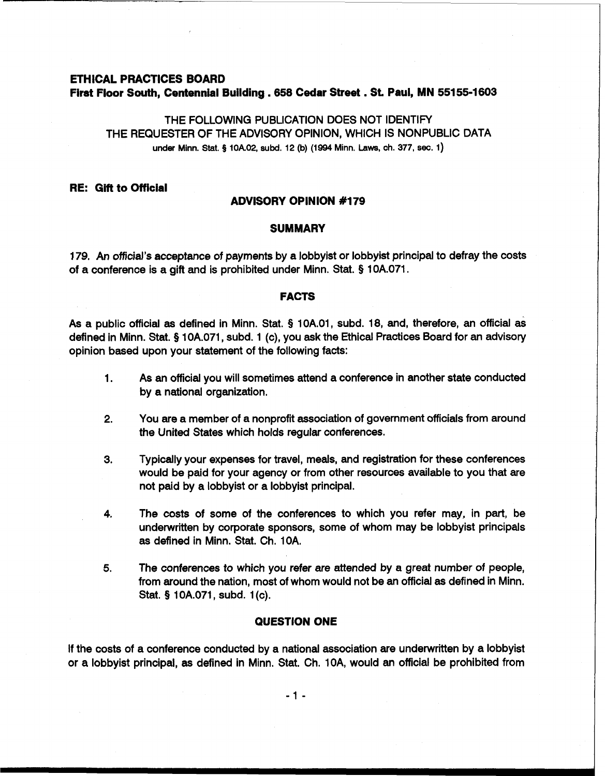# **ETHICAL PRACTICES BOARD First Floor South, Centennial Building ,658 Cedar Street** . **St Paul, MN 551 55-1 603**

THE FOLLOWING PUBLICATION DOES NOT IDENTIFY THE REQUESTER OF THE ADVISORY OPINION, WHICH IS NONPUBLIC DATA under Minn. Stat. **9** 10A.02, subd. 12 (b) (1994 Minn. Laws, ch. 377, **sec.** 1)

## **RE: Gift to Official**

#### **ADVISORY OPINION #I79**

#### **SUMMARY**

179. An official's acceptance of payments by a lobbyist or lobbyist principal to defray the costs of a conference is a gift and is prohibited under Minn. Stat. § 10A.071.

#### **FACTS**

As a public official as defined in Minn. Stat. § 10A.O1, subd. 18, and, therefore, an official as defined in Minn. Stat. § 10A.071, subd. 1 (c), you ask the Ethical Practices Board for an advisory opinion based upon your statement of the following facts:

- 1. As an official you will sometimes attend a conference in another state conducted by a national organization.
- **2.** You are a member of a nonprofit association of government officials from around the United States which holds regular conferences.
- **3.** Typically your expenses for travel, meals, and registration for these conferences would be paid for your agency or from other resources available to you that are not paid by a lobbyist or a lobbyist principal.
- **4.** The costs of some of the conferences to which you refer may, in part, be underwritten by corporate sponsors, some of whom may be lobbyist principals as defined in Minn. Stat. Ch. 10A.
- **5.** The conferences to which you refer are attended by a great number of people, from around the nation, most of whom would not be an official as defined in Minn. Stat. § 10A.071, subd. 1 (c).

### **QUESTION ONE**

If the costs of a conference conducted by a national association are underwritten by a lobbyist or a lobbyist principal, as defined in Minn. Stat. Ch. 10A, would an official be prohibited from

 $-1 -$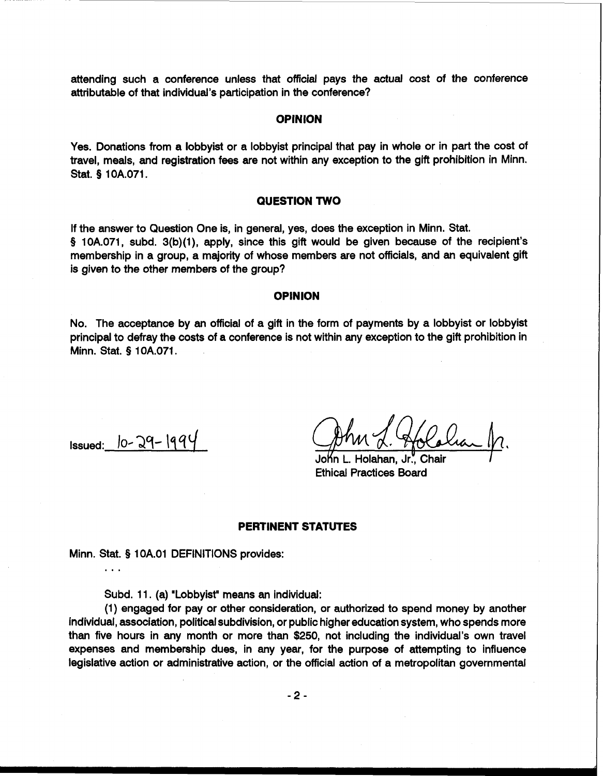attending such a conference unless that official pays the actual cost of the conference attributable of that individual's participation in the conference?

## **OPINION**

Yes. Donations from a lobbyist or a lobbyist principal that pay in whole or in part the cost of travel, meals, and registration fees are not within any exception to the gift prohibition in Minn. Stat. § 1 OA.071.

## **QUESTION TWO**

If the answer to Question One is, in general, yes, does the exception in Minn. Stat. § 10A.071, subd. 3(b)(1), apply, since this gift would be given because of the recipient's membership in a group, a majority of whose members are not officials, and an equivalent gift is given to the other members of the group?

#### **OPINION**

No. The acceptance by an official of a gift in the form of payments by a lobbyist or lobbyist principal to defray the costs of a conference is not within any exception to the gift prohibition in Minn. Stat. § 10A.071.

 $Issued: 10-29-1994$ 

**.a.** 

John L. Holahan, Jr., Chair *I* Ethical Practices Board

## **PERTINENT STATUTES**

Minn. Stat. § 1 OA.O1 DEFINITIONS provides:

Subd. 11. (a) "Lobbyist" means an individual:

(1) engaged for pay or other consideration, or authorized to spend money by another individual, association, political subdivision, or public higher education system, who spends more than five hours in any month or more than \$250, not including the individual's own travel expenses and membership dues, in any year, for the purpose of attempting to influence legislative action or administrative action, or the official action of a metropolitan governmental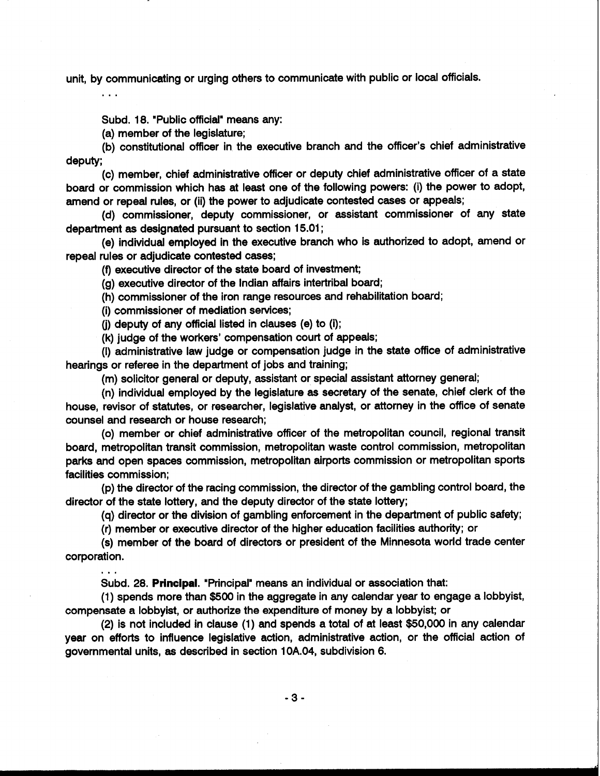unit, by communicating or urging others to communicate with public or local officials.

Subd. 18. "Public official" means any:

(a) member of the legislature;

(b) constitutional officer in the executive branch and the officer's chief administrative deputy;

(c) member, chief administrative officer or deputy chief administrative officer of a state board or commission which has at least one of the following powers: (i) the power to adopt, amend or repeal rules, or (ii) the power to adjudicate contested cases or appeals;

(d) commissioner, deputy commissioner, or assistant commissioner of any state department as designated pursuant to section 15.01 ;

(e) individual employed in the executive branch who is authorized to adopt, amend or repeal rules or adjudicate contested cases;

(f) executive director of the state board of investment;

(g) executive director of the Indian affairs intertribal board;

(h) commissioner of the iron range resources and rehabilitation board;

(i) commissioner of mediation services;

 $\mathbf{r}$ 

(j) deputy of any official listed in clauses (e) to (i);

(k) judge of the workers' compensation court of appeals;

(I) administrative law judge or compensation judge in the state office of administrative hearings or referee in the department of jobs and training;

(m) solicitor general or deputy, assistant or special assistant attorney general;

(n) individual employed by the legislature as secretary of the senate, chief clerk of the house, revisor of statutes, or researcher, legislative analyst, or attorney in the office of senate counsel and research or house research;

(0) member or chief administrative officer of the metropolitan council, regional transit board, metropolitan transit commission, metropolitan waste control commission, metropolitan parks and open spaces commission, metropolitan airports commission or metropolitan sports facilities commission;

(p) the director of the racing commission, the director of the gambling control board, the director of the state lottery, and the deputy director of the state lottery;

(q) director or the division of gambling enforcement in the department of public safety;

(r) member or executive director of the higher education facilities authority; or

(s) member of the board of directors or president of the Minnesota world trade center corporation.

Subd. 28. Principal. "Principal" means an individual or association that:

(1) spends more than \$500 in the aggregate in any calendar year to engage a lobbyist, compensate a lobbyist, or authorize the expenditure of money by a lobbyist; or

(2) is not included in clause (1) and spends a total of at least \$50,000 in any calendar year on efforts to influence legislative action, administrative action, or the official action of governmental units, as described in section 10A.04, subdivision 6.